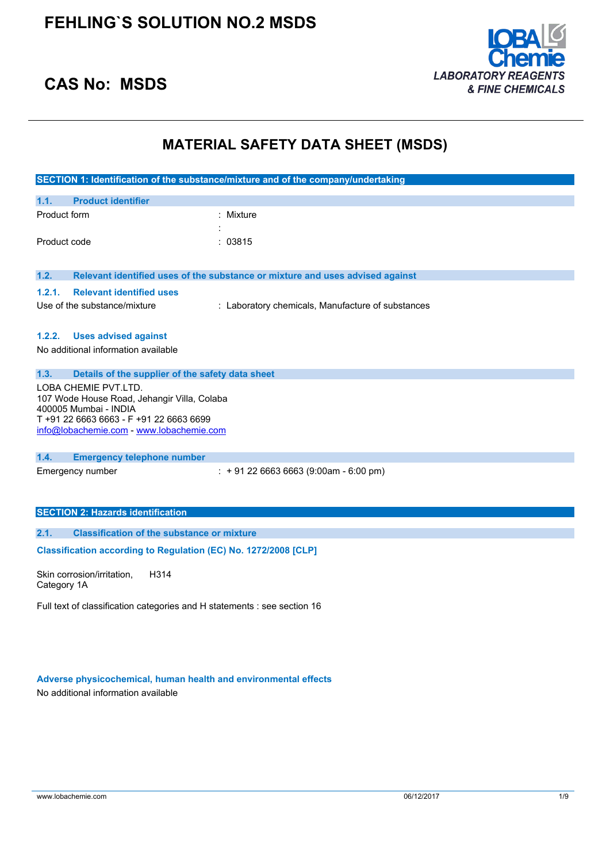

## **CAS No: MSDS**

## **MATERIAL SAFETY DATA SHEET (MSDS)**

|                                                                 |                                                   | SECTION 1: Identification of the substance/mixture and of the company/undertaking |
|-----------------------------------------------------------------|---------------------------------------------------|-----------------------------------------------------------------------------------|
| 1.1.                                                            | <b>Product identifier</b>                         |                                                                                   |
| Product form                                                    |                                                   | : Mixture                                                                         |
|                                                                 |                                                   |                                                                                   |
| Product code                                                    |                                                   | : 03815                                                                           |
|                                                                 |                                                   |                                                                                   |
| 1.2.                                                            |                                                   | Relevant identified uses of the substance or mixture and uses advised against     |
| 1.2.1.                                                          | <b>Relevant identified uses</b>                   |                                                                                   |
|                                                                 | Use of the substance/mixture                      | : Laboratory chemicals, Manufacture of substances                                 |
|                                                                 |                                                   |                                                                                   |
| 1.2.2.                                                          | <b>Uses advised against</b>                       |                                                                                   |
|                                                                 | No additional information available               |                                                                                   |
| 1.3.                                                            | Details of the supplier of the safety data sheet  |                                                                                   |
|                                                                 | LOBA CHEMIE PVT.LTD.                              |                                                                                   |
|                                                                 | 107 Wode House Road, Jehangir Villa, Colaba       |                                                                                   |
| 400005 Mumbai - INDIA                                           | T +91 22 6663 6663 - F +91 22 6663 6699           |                                                                                   |
|                                                                 | info@lobachemie.com - www.lobachemie.com          |                                                                                   |
|                                                                 |                                                   |                                                                                   |
| 1.4.                                                            | <b>Emergency telephone number</b>                 |                                                                                   |
| Emergency number                                                |                                                   | $: +912266636663(9:00am - 6:00 pm)$                                               |
|                                                                 |                                                   |                                                                                   |
|                                                                 | <b>SECTION 2: Hazards identification</b>          |                                                                                   |
|                                                                 |                                                   |                                                                                   |
| 2.1.                                                            | <b>Classification of the substance or mixture</b> |                                                                                   |
| Classification according to Regulation (EC) No. 1272/2008 [CLP] |                                                   |                                                                                   |
| Skin corrosion/irritation.                                      | H314                                              |                                                                                   |

Category 1A

Full text of classification categories and H statements : see section 16

**Adverse physicochemical, human health and environmental effects**

No additional information available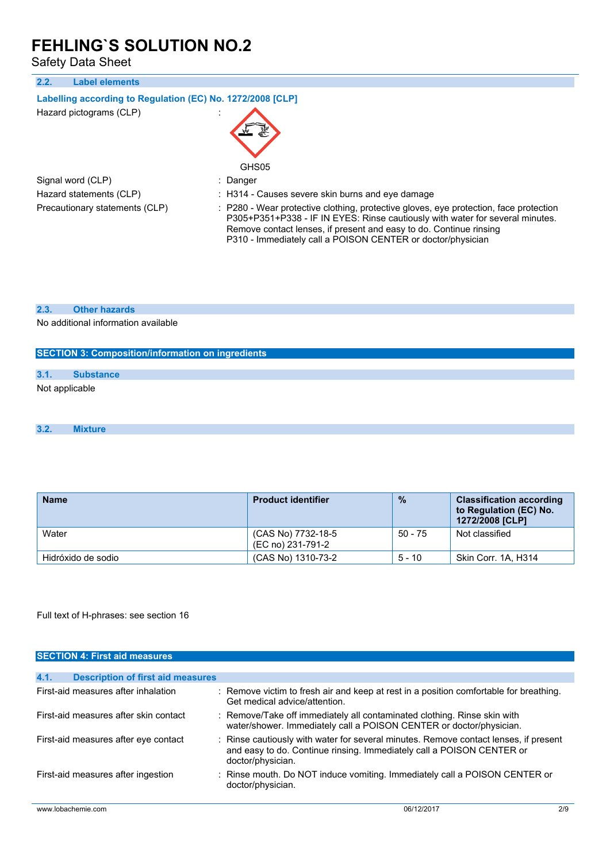Safety Data Sheet

| <b>Label elements</b><br>2.2.                              |                                                                                                                                                                                                                                                                                                             |
|------------------------------------------------------------|-------------------------------------------------------------------------------------------------------------------------------------------------------------------------------------------------------------------------------------------------------------------------------------------------------------|
| Labelling according to Regulation (EC) No. 1272/2008 [CLP] |                                                                                                                                                                                                                                                                                                             |
| Hazard pictograms (CLP)                                    | GHS05                                                                                                                                                                                                                                                                                                       |
| Signal word (CLP)                                          | : Danger                                                                                                                                                                                                                                                                                                    |
| Hazard statements (CLP)                                    | : H314 - Causes severe skin burns and eye damage                                                                                                                                                                                                                                                            |
| Precautionary statements (CLP)                             | : P280 - Wear protective clothing, protective gloves, eye protection, face protection<br>P305+P351+P338 - IF IN EYES: Rinse cautiously with water for several minutes.<br>Remove contact lenses, if present and easy to do. Continue rinsing<br>P310 - Immediately call a POISON CENTER or doctor/physician |
|                                                            |                                                                                                                                                                                                                                                                                                             |

### **2.3. Other hazards**

No additional information available

## **SECTION 3: Composition/information on ingredients**

## **3.1. Substance**

Not applicable

```
3.2. Mixture
```

| <b>Name</b>        | <b>Product identifier</b>               | $\frac{9}{6}$ | <b>Classification according</b><br>to Regulation (EC) No.<br>1272/2008 [CLP] |
|--------------------|-----------------------------------------|---------------|------------------------------------------------------------------------------|
| Water              | (CAS No) 7732-18-5<br>(EC no) 231-791-2 | $50 - 75$     | Not classified                                                               |
| Hidróxido de sodio | (CAS No) 1310-73-2                      | $5 - 10$      | Skin Corr. 1A, H314                                                          |

Full text of H-phrases: see section 16

| <b>SECTION 4: First aid measures</b>             |                               |                                                                                                                                                               |     |
|--------------------------------------------------|-------------------------------|---------------------------------------------------------------------------------------------------------------------------------------------------------------|-----|
|                                                  |                               |                                                                                                                                                               |     |
| 4.1.<br><b>Description of first aid measures</b> |                               |                                                                                                                                                               |     |
| First-aid measures after inhalation              | Get medical advice/attention. | : Remove victim to fresh air and keep at rest in a position comfortable for breathing.                                                                        |     |
| First-aid measures after skin contact            |                               | : Remove/Take off immediately all contaminated clothing. Rinse skin with<br>water/shower. Immediately call a POISON CENTER or doctor/physician.               |     |
| First-aid measures after eye contact             | doctor/physician.             | : Rinse cautiously with water for several minutes. Remove contact lenses, if present<br>and easy to do. Continue rinsing. Immediately call a POISON CENTER or |     |
| First-aid measures after ingestion               | doctor/physician.             | : Rinse mouth. Do NOT induce vomiting. Immediately call a POISON CENTER or                                                                                    |     |
| www.lobachemie.com                               |                               | 06/12/2017                                                                                                                                                    | 2/9 |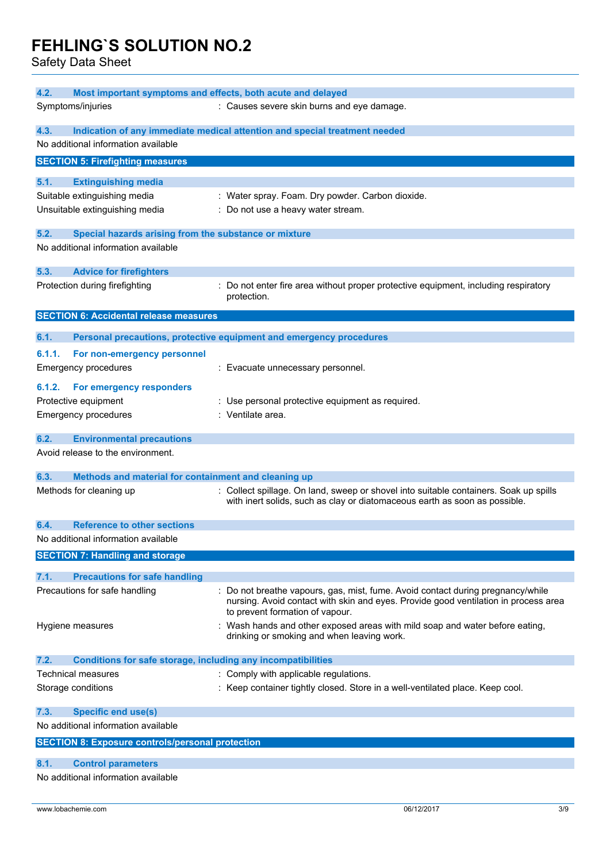Safety Data Sheet

| 4.2.<br>Most important symptoms and effects, both acute and delayed                                  |                                                                                                                                                                                                         |  |  |  |
|------------------------------------------------------------------------------------------------------|---------------------------------------------------------------------------------------------------------------------------------------------------------------------------------------------------------|--|--|--|
| Symptoms/injuries                                                                                    | : Causes severe skin burns and eye damage.                                                                                                                                                              |  |  |  |
| 4.3.<br>Indication of any immediate medical attention and special treatment needed                   |                                                                                                                                                                                                         |  |  |  |
| No additional information available                                                                  |                                                                                                                                                                                                         |  |  |  |
| <b>SECTION 5: Firefighting measures</b>                                                              |                                                                                                                                                                                                         |  |  |  |
| 5.1.<br><b>Extinguishing media</b><br>Suitable extinguishing media<br>Unsuitable extinguishing media | : Water spray. Foam. Dry powder. Carbon dioxide.<br>: Do not use a heavy water stream.                                                                                                                  |  |  |  |
| 5.2.<br>Special hazards arising from the substance or mixture                                        |                                                                                                                                                                                                         |  |  |  |
| No additional information available                                                                  |                                                                                                                                                                                                         |  |  |  |
| 5.3.<br><b>Advice for firefighters</b>                                                               |                                                                                                                                                                                                         |  |  |  |
| Protection during firefighting                                                                       | : Do not enter fire area without proper protective equipment, including respiratory<br>protection.                                                                                                      |  |  |  |
| <b>SECTION 6: Accidental release measures</b>                                                        |                                                                                                                                                                                                         |  |  |  |
| 6.1.                                                                                                 | Personal precautions, protective equipment and emergency procedures                                                                                                                                     |  |  |  |
| 6.1.1.<br>For non-emergency personnel<br><b>Emergency procedures</b>                                 | : Evacuate unnecessary personnel.                                                                                                                                                                       |  |  |  |
| 6.1.2.<br>For emergency responders                                                                   |                                                                                                                                                                                                         |  |  |  |
| Protective equipment                                                                                 | : Use personal protective equipment as required.                                                                                                                                                        |  |  |  |
| <b>Emergency procedures</b>                                                                          | : Ventilate area.                                                                                                                                                                                       |  |  |  |
|                                                                                                      |                                                                                                                                                                                                         |  |  |  |
| 6.2.<br><b>Environmental precautions</b>                                                             |                                                                                                                                                                                                         |  |  |  |
| Avoid release to the environment.                                                                    |                                                                                                                                                                                                         |  |  |  |
| 6.3.<br>Methods and material for containment and cleaning up                                         |                                                                                                                                                                                                         |  |  |  |
| Methods for cleaning up                                                                              | : Collect spillage. On land, sweep or shovel into suitable containers. Soak up spills<br>with inert solids, such as clay or diatomaceous earth as soon as possible.                                     |  |  |  |
| <b>Reference to other sections</b><br>6.4.                                                           |                                                                                                                                                                                                         |  |  |  |
| No additional information available                                                                  |                                                                                                                                                                                                         |  |  |  |
| <b>SECTION 7: Handling and storage</b>                                                               |                                                                                                                                                                                                         |  |  |  |
| 7.1.<br><b>Precautions for safe handling</b>                                                         |                                                                                                                                                                                                         |  |  |  |
| Precautions for safe handling                                                                        | Do not breathe vapours, gas, mist, fume. Avoid contact during pregnancy/while<br>nursing. Avoid contact with skin and eyes. Provide good ventilation in process area<br>to prevent formation of vapour. |  |  |  |
| Hygiene measures                                                                                     | Wash hands and other exposed areas with mild soap and water before eating,<br>drinking or smoking and when leaving work.                                                                                |  |  |  |
| <b>Conditions for safe storage, including any incompatibilities</b><br>7.2.                          |                                                                                                                                                                                                         |  |  |  |
| Technical measures                                                                                   | : Comply with applicable regulations.                                                                                                                                                                   |  |  |  |
| Storage conditions                                                                                   | : Keep container tightly closed. Store in a well-ventilated place. Keep cool.                                                                                                                           |  |  |  |
| 7.3.<br><b>Specific end use(s)</b>                                                                   |                                                                                                                                                                                                         |  |  |  |
| No additional information available                                                                  |                                                                                                                                                                                                         |  |  |  |
| <b>SECTION 8: Exposure controls/personal protection</b>                                              |                                                                                                                                                                                                         |  |  |  |
| 8.1.<br><b>Control parameters</b>                                                                    |                                                                                                                                                                                                         |  |  |  |
| No additional information available                                                                  |                                                                                                                                                                                                         |  |  |  |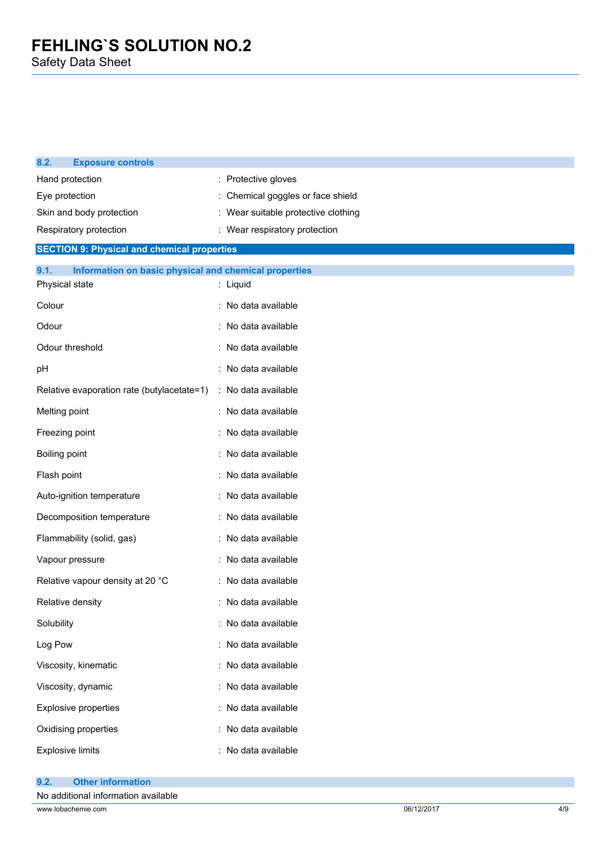| 8.2.<br><b>Exposure controls</b>                              |  |                                   |
|---------------------------------------------------------------|--|-----------------------------------|
| Hand protection                                               |  | Protective gloves                 |
| Eye protection                                                |  | Chemical goggles or face shield   |
| Skin and body protection                                      |  | Wear suitable protective clothing |
| Respiratory protection                                        |  | : Wear respiratory protection     |
| <b>SECTION 9: Physical and chemical properties</b>            |  |                                   |
| Information on basic physical and chemical properties<br>9.1. |  |                                   |
| Physical state                                                |  | : Liquid                          |
| Colour                                                        |  | : No data available               |
| Odour                                                         |  | No data available                 |
| Odour threshold                                               |  | No data available                 |
| рH                                                            |  | No data available                 |
| Relative evaporation rate (butylacetate=1)                    |  | : No data available               |
| Melting point                                                 |  | : No data available               |
| Freezing point                                                |  | No data available                 |
| Boiling point                                                 |  | No data available                 |
| Flash point                                                   |  | : No data available               |
| Auto-ignition temperature                                     |  | : No data available               |
| Decomposition temperature                                     |  | No data available                 |
| Flammability (solid, gas)                                     |  | : No data available               |
| Vapour pressure                                               |  | No data available                 |
| Relative vapour density at 20 °C                              |  | No data available                 |
| Relative density                                              |  | : No data available               |
| Solubility                                                    |  | No data available                 |
| Log Pow                                                       |  | No data available                 |
| Viscosity, kinematic                                          |  | : No data available               |
| Viscosity, dynamic                                            |  | : No data available               |
| Explosive properties                                          |  | : No data available               |
| Oxidising properties                                          |  | No data available                 |
| <b>Explosive limits</b>                                       |  | No data available                 |
|                                                               |  |                                   |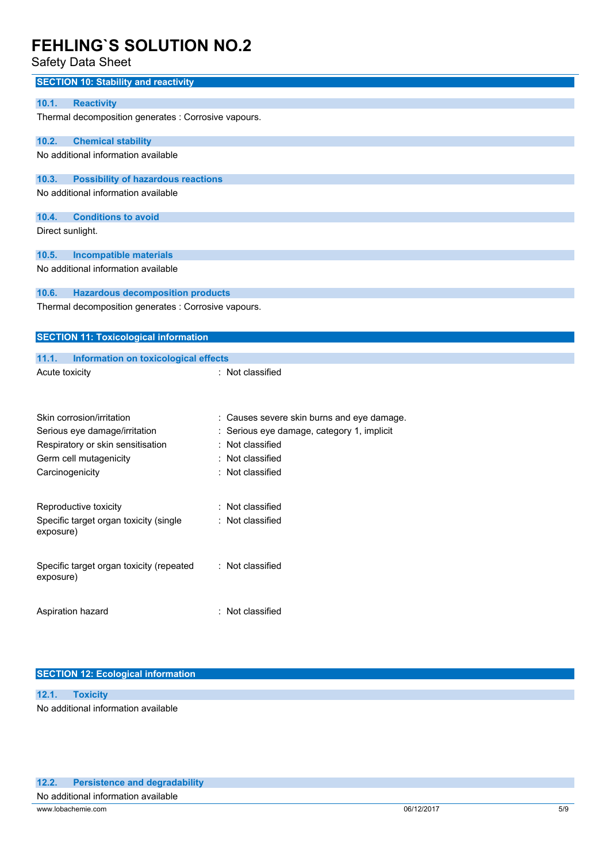## Safety Data Sheet

| <b>SECTION 10: Stability and reactivity</b>           |                                            |  |  |
|-------------------------------------------------------|--------------------------------------------|--|--|
| 10.1.<br><b>Reactivity</b>                            |                                            |  |  |
| Thermal decomposition generates : Corrosive vapours.  |                                            |  |  |
| <b>Chemical stability</b><br>10.2.                    |                                            |  |  |
| No additional information available                   |                                            |  |  |
| <b>Possibility of hazardous reactions</b><br>10.3.    |                                            |  |  |
| No additional information available                   |                                            |  |  |
| <b>Conditions to avoid</b><br>10.4.                   |                                            |  |  |
| Direct sunlight.                                      |                                            |  |  |
| 10.5.<br><b>Incompatible materials</b>                |                                            |  |  |
| No additional information available                   |                                            |  |  |
| <b>Hazardous decomposition products</b><br>10.6.      |                                            |  |  |
| Thermal decomposition generates : Corrosive vapours.  |                                            |  |  |
| <b>SECTION 11: Toxicological information</b>          |                                            |  |  |
| 11.1.<br>Information on toxicological effects         |                                            |  |  |
| Acute toxicity                                        | : Not classified                           |  |  |
|                                                       |                                            |  |  |
| Skin corrosion/irritation                             | : Causes severe skin burns and eye damage. |  |  |
| Serious eye damage/irritation                         | : Serious eye damage, category 1, implicit |  |  |
| Respiratory or skin sensitisation                     | : Not classified                           |  |  |
| Germ cell mutagenicity                                | : Not classified                           |  |  |
| Carcinogenicity                                       | : Not classified                           |  |  |
| Reproductive toxicity                                 | : Not classified                           |  |  |
| Specific target organ toxicity (single<br>exposure)   | : Not classified                           |  |  |
| Specific target organ toxicity (repeated<br>exposure) | : Not classified                           |  |  |
| Aspiration hazard                                     | : Not classified                           |  |  |

### **SECTION 12: Ecological information**

**12.1. Toxicity** No additional information available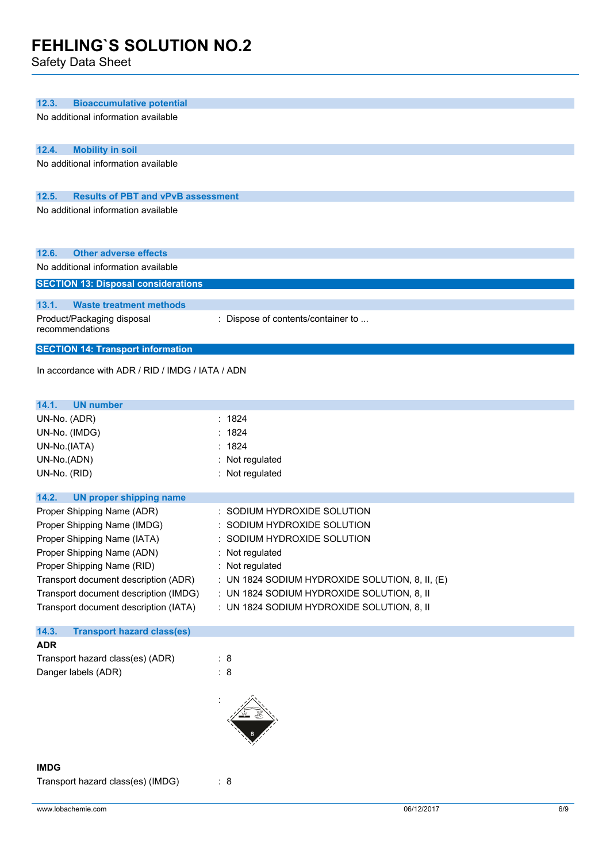Safety Data Sheet

| 12.3.<br><b>Bioaccumulative potential</b>          |                                                 |
|----------------------------------------------------|-------------------------------------------------|
| No additional information available                |                                                 |
|                                                    |                                                 |
| 12.4.<br><b>Mobility in soil</b>                   |                                                 |
| No additional information available                |                                                 |
|                                                    |                                                 |
| 12.5.<br><b>Results of PBT and vPvB assessment</b> |                                                 |
| No additional information available                |                                                 |
|                                                    |                                                 |
|                                                    |                                                 |
| 12.6.<br><b>Other adverse effects</b>              |                                                 |
| No additional information available                |                                                 |
| <b>SECTION 13: Disposal considerations</b>         |                                                 |
|                                                    |                                                 |
| 13.1.<br><b>Waste treatment methods</b>            |                                                 |
| Product/Packaging disposal                         | : Dispose of contents/container to              |
| recommendations                                    |                                                 |
| <b>SECTION 14: Transport information</b>           |                                                 |
| In accordance with ADR / RID / IMDG / IATA / ADN   |                                                 |
|                                                    |                                                 |
|                                                    |                                                 |
| 14.1.<br><b>UN number</b>                          |                                                 |
| UN-No. (ADR)                                       | : 1824                                          |
| UN-No. (IMDG)                                      | : 1824                                          |
| UN-No.(IATA)                                       | 1824                                            |
| UN-No.(ADN)                                        | : Not regulated                                 |
| UN-No. (RID)                                       | : Not regulated                                 |
| 14.2.<br><b>UN proper shipping name</b>            |                                                 |
| Proper Shipping Name (ADR)                         | : SODIUM HYDROXIDE SOLUTION                     |
| Proper Shipping Name (IMDG)                        | : SODIUM HYDROXIDE SOLUTION                     |
| Proper Shipping Name (IATA)                        | SODIUM HYDROXIDE SOLUTION                       |
| Proper Shipping Name (ADN)                         | : Not regulated                                 |
| Proper Shipping Name (RID)                         | : Not regulated                                 |
| Transport document description (ADR)               | : UN 1824 SODIUM HYDROXIDE SOLUTION, 8, II, (E) |
| Transport document description (IMDG)              | : UN 1824 SODIUM HYDROXIDE SOLUTION, 8, II      |
| Transport document description (IATA)              | : UN 1824 SODIUM HYDROXIDE SOLUTION, 8, II      |
|                                                    |                                                 |
| 14.3.<br><b>Transport hazard class(es)</b>         |                                                 |
| <b>ADR</b>                                         |                                                 |
| Transport hazard class(es) (ADR)                   | : 8                                             |
| Danger labels (ADR)                                | : 8                                             |
|                                                    |                                                 |
|                                                    |                                                 |
|                                                    |                                                 |
|                                                    |                                                 |
|                                                    |                                                 |
| <b>IMDG</b>                                        |                                                 |
| Transport hazard class(es) (IMDG)                  | : 8                                             |
|                                                    |                                                 |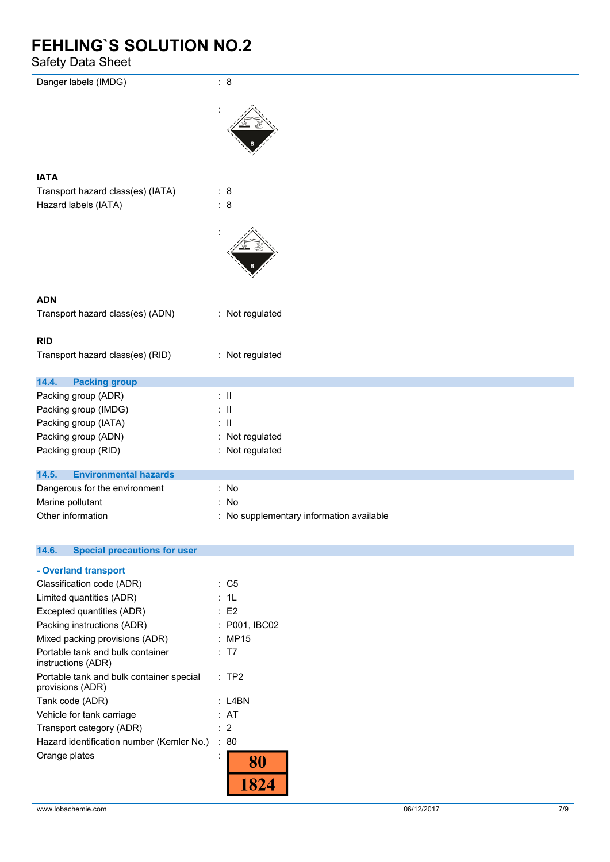## Safety Data Sheet

| Danger labels (IMDG)                         | : 8                                      |
|----------------------------------------------|------------------------------------------|
|                                              |                                          |
| <b>IATA</b>                                  |                                          |
| Transport hazard class(es) (IATA)            | : 8                                      |
| Hazard labels (IATA)                         | $\therefore$ 8                           |
|                                              |                                          |
| <b>ADN</b>                                   |                                          |
| Transport hazard class(es) (ADN)             | : Not regulated                          |
|                                              |                                          |
| <b>RID</b>                                   |                                          |
| Transport hazard class(es) (RID)             | : Not regulated                          |
| 14.4.<br><b>Packing group</b>                |                                          |
| Packing group (ADR)                          | $\therefore$ II                          |
| Packing group (IMDG)                         | $\mathbb{R}^{\mathbb{N}}$                |
| Packing group (IATA)                         | $\therefore$ II                          |
| Packing group (ADN)                          | : Not regulated                          |
| Packing group (RID)                          | : Not regulated                          |
| 14.5.<br><b>Environmental hazards</b>        |                                          |
| Dangerous for the environment                | : No                                     |
| Marine pollutant                             | : No                                     |
| Other information                            | : No supplementary information available |
|                                              |                                          |
| 14.6.<br><b>Special precautions for user</b> |                                          |
|                                              |                                          |

| - Overland transport                                         |               |
|--------------------------------------------------------------|---------------|
| Classification code (ADR)                                    | : C5          |
| Limited quantities (ADR)                                     | : 1L          |
| Excepted quantities (ADR)                                    | E2            |
| Packing instructions (ADR)                                   | : P001, IBC02 |
| Mixed packing provisions (ADR)                               | : MP15        |
| Portable tank and bulk container<br>instructions (ADR)       | : T7          |
| Portable tank and bulk container special<br>provisions (ADR) | $:$ TP2       |
| Tank code (ADR)                                              | : L4BN        |
| Vehicle for tank carriage                                    | : AT          |
| Transport category (ADR)                                     | : 2           |
| Hazard identification number (Kemler No.)                    | : 80          |
| Orange plates                                                |               |
|                                                              |               |
|                                                              |               |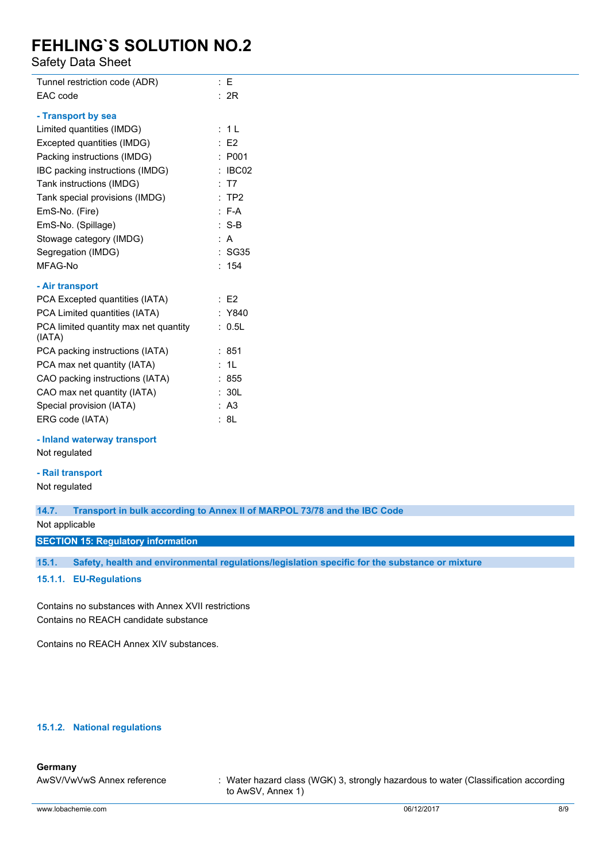## Safety Data Sheet

| Tunnel restriction code (ADR)                   |    | : E            |
|-------------------------------------------------|----|----------------|
| EAC code                                        |    | : 2R           |
| - Transport by sea                              |    |                |
|                                                 |    |                |
| Limited quantities (IMDG)                       |    | : 1 L          |
| Excepted quantities (IMDG)                      |    | E2             |
| Packing instructions (IMDG)                     | ÷  | P001           |
| IBC packing instructions (IMDG)                 | ÷  | IBC02          |
| Tank instructions (IMDG)                        |    | : T7           |
| Tank special provisions (IMDG)                  |    | :TP2           |
| EmS-No. (Fire)                                  |    | $: F-A$        |
| EmS-No. (Spillage)                              |    | : S-B          |
| Stowage category (IMDG)                         |    | : A            |
| Segregation (IMDG)                              |    | : SG35         |
| MFAG-No                                         |    | : 154          |
| - Air transport                                 |    |                |
| PCA Excepted quantities (IATA)                  |    | E2             |
| PCA Limited quantities (IATA)                   |    | : Y840         |
| PCA limited quantity max net quantity<br>(IATA) | t. | 0.5L           |
| PCA packing instructions (IATA)                 |    | : 851          |
| PCA max net quantity (IATA)                     |    | 1L             |
| CAO packing instructions (IATA)                 |    | : 855          |
| CAO max net quantity (IATA)                     |    | 30L            |
| Special provision (IATA)                        |    | A <sub>3</sub> |
| ERG code (IATA)                                 |    | : 8L           |

#### **- Inland waterway transport**

Not regulated

#### **- Rail transport**

Not regulated

### **14.7. Transport in bulk according to Annex II of MARPOL 73/78 and the IBC Code**

Not applicable

#### **SECTION 15: Regulatory information**

**15.1. Safety, health and environmental regulations/legislation specific for the substance or mixture**

### **15.1.1. EU-Regulations**

Contains no substances with Annex XVII restrictions Contains no REACH candidate substance

Contains no REACH Annex XIV substances.

### **15.1.2. National regulations**

### **Germany**

AwSV/VwVwS Annex reference : Water hazard class (WGK) 3, strongly hazardous to water (Classification according to AwSV, Annex 1)